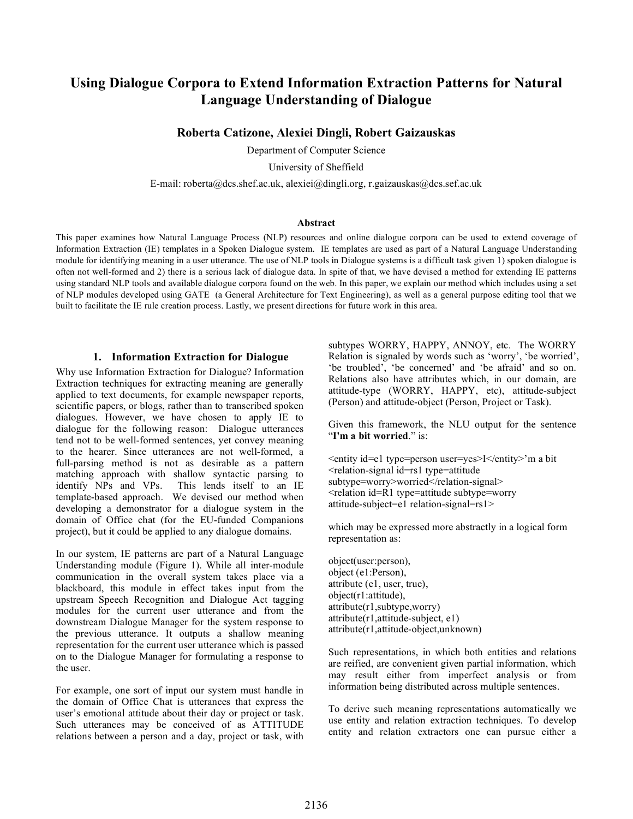# **Using Dialogue Corpora to Extend Information Extraction Patterns for Natural Language Understanding of Dialogue**

### **Roberta Catizone, Alexiei Dingli, Robert Gaizauskas**

Department of Computer Science

University of Sheffield

E-mail: roberta@dcs.shef.ac.uk, alexiei@dingli.org, r.gaizauskas@dcs.sef.ac.uk

#### **Abstract**

This paper examines how Natural Language Process (NLP) resources and online dialogue corpora can be used to extend coverage of Information Extraction (IE) templates in a Spoken Dialogue system. IE templates are used as part of a Natural Language Understanding module for identifying meaning in a user utterance. The use of NLP tools in Dialogue systems is a difficult task given 1) spoken dialogue is often not well-formed and 2) there is a serious lack of dialogue data. In spite of that, we have devised a method for extending IE patterns using standard NLP tools and available dialogue corpora found on the web. In this paper, we explain our method which includes using a set of NLP modules developed using GATE (a General Architecture for Text Engineering), as well as a general purpose editing tool that we built to facilitate the IE rule creation process. Lastly, we present directions for future work in this area.

#### **1. Information Extraction for Dialogue**

Why use Information Extraction for Dialogue? Information Extraction techniques for extracting meaning are generally applied to text documents, for example newspaper reports, scientific papers, or blogs, rather than to transcribed spoken dialogues. However, we have chosen to apply IE to dialogue for the following reason: Dialogue utterances tend not to be well-formed sentences, yet convey meaning to the hearer. Since utterances are not well-formed, a full-parsing method is not as desirable as a pattern matching approach with shallow syntactic parsing to identify NPs and VPs. This lends itself to an IE This lends itself to an IE template-based approach. We devised our method when developing a demonstrator for a dialogue system in the domain of Office chat (for the EU-funded Companions project), but it could be applied to any dialogue domains.

In our system, IE patterns are part of a Natural Language Understanding module (Figure 1). While all inter-module communication in the overall system takes place via a blackboard, this module in effect takes input from the upstream Speech Recognition and Dialogue Act tagging modules for the current user utterance and from the downstream Dialogue Manager for the system response to the previous utterance. It outputs a shallow meaning representation for the current user utterance which is passed on to the Dialogue Manager for formulating a response to the user.

For example, one sort of input our system must handle in the domain of Office Chat is utterances that express the user's emotional attitude about their day or project or task. Such utterances may be conceived of as ATTITUDE relations between a person and a day, project or task, with subtypes WORRY, HAPPY, ANNOY, etc. The WORRY Relation is signaled by words such as 'worry', 'be worried', 'be troubled', 'be concerned' and 'be afraid' and so on. Relations also have attributes which, in our domain, are attitude-type (WORRY, HAPPY, etc), attitude-subject (Person) and attitude-object (Person, Project or Task).

Given this framework, the NLU output for the sentence "**I'm a bit worried**." is:

<entity id=e1 type=person user=yes>I</entity>'m a bit <relation-signal id=rs1 type=attitude subtype=worry>worried</relation-signal> <relation id=R1 type=attitude subtype=worry attitude-subject=e1 relation-signal=rs1>

which may be expressed more abstractly in a logical form representation as:

object(user:person), object (e1:Person), attribute (e1, user, true), object(r1:attitude), attribute(r1,subtype,worry) attribute(r1,attitude-subject, e1) attribute(r1,attitude-object,unknown)

Such representations, in which both entities and relations are reified, are convenient given partial information, which may result either from imperfect analysis or from information being distributed across multiple sentences.

To derive such meaning representations automatically we use entity and relation extraction techniques. To develop entity and relation extractors one can pursue either a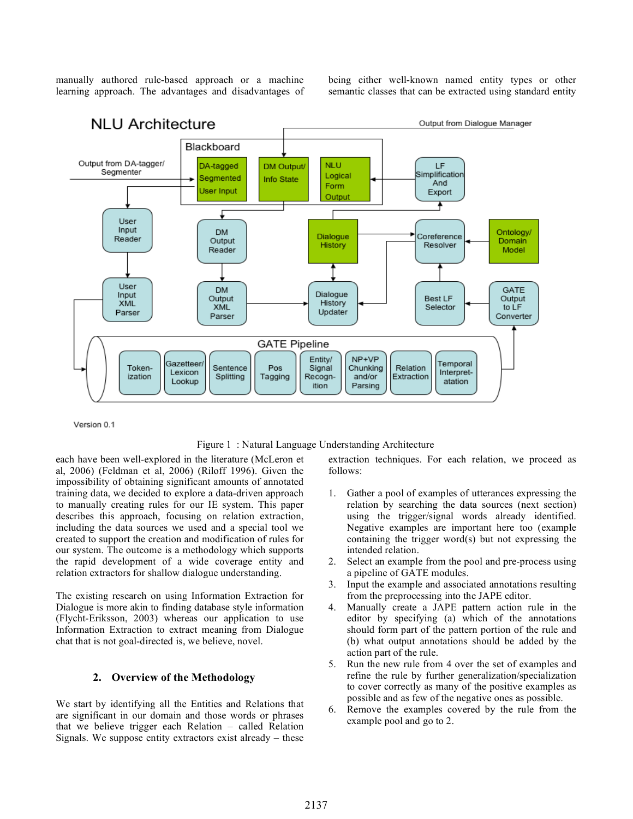manually authored rule-based approach or a machine learning approach. The advantages and disadvantages of being either well-known named entity types or other semantic classes that can be extracted using standard entity



Version 0.1

#### Figure 1 : Natural Language Understanding Architecture

each have been well-explored in the literature (McLeron et al, 2006) (Feldman et al, 2006) (Riloff 1996). Given the impossibility of obtaining significant amounts of annotated training data, we decided to explore a data-driven approach to manually creating rules for our IE system. This paper describes this approach, focusing on relation extraction, including the data sources we used and a special tool we created to support the creation and modification of rules for our system. The outcome is a methodology which supports the rapid development of a wide coverage entity and relation extractors for shallow dialogue understanding.

The existing research on using Information Extraction for Dialogue is more akin to finding database style information (Flycht-Eriksson, 2003) whereas our application to use Information Extraction to extract meaning from Dialogue chat that is not goal-directed is, we believe, novel.

### **2. Overview of the Methodology**

We start by identifying all the Entities and Relations that are significant in our domain and those words or phrases that we believe trigger each Relation – called Relation Signals. We suppose entity extractors exist already – these

extraction techniques. For each relation, we proceed as follows:

- 1. Gather a pool of examples of utterances expressing the relation by searching the data sources (next section) using the trigger/signal words already identified. Negative examples are important here too (example containing the trigger word(s) but not expressing the intended relation.
- 2. Select an example from the pool and pre-process using a pipeline of GATE modules.
- 3. Input the example and associated annotations resulting from the preprocessing into the JAPE editor.
- 4. Manually create a JAPE pattern action rule in the editor by specifying (a) which of the annotations should form part of the pattern portion of the rule and (b) what output annotations should be added by the action part of the rule.
- 5. Run the new rule from 4 over the set of examples and refine the rule by further generalization/specialization to cover correctly as many of the positive examples as possible and as few of the negative ones as possible.
- 6. Remove the examples covered by the rule from the example pool and go to 2.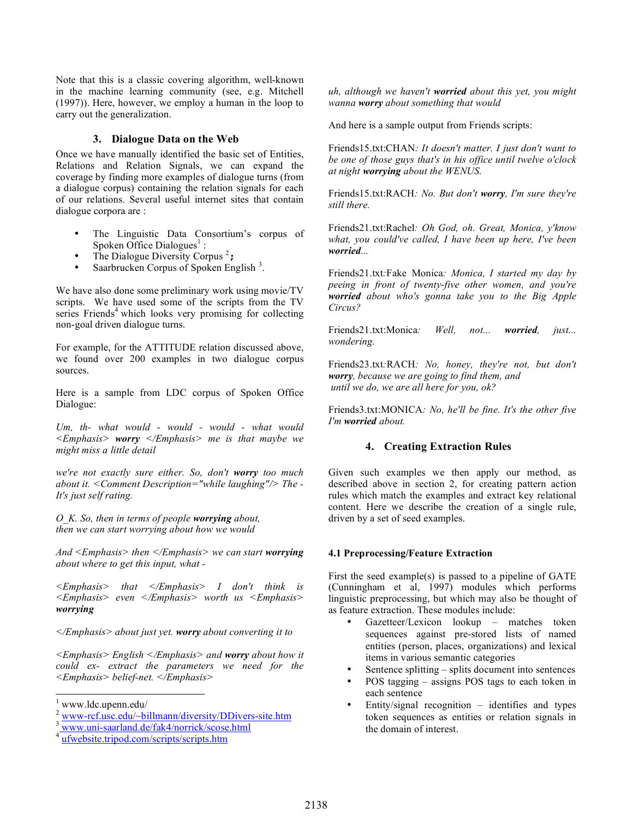Note that this is a classic covering algorithm, well-known in the machine learning community (see, e.g. Mitchell (1997)). Here, however, we employ a human in the loop to carry out the generalization.

### **3. Dialogue Data on the Web**

Once we have manually identified the basic set of Entities, Relations and Relation Signals, we can expand the coverage by finding more examples of dialogue turns (from a dialogue corpus) containing the relation signals for each of our relations. Several useful internet sites that contain dialogue corpora are :

- The Linguistic Data Consortium's corpus of Spoken Office Dialogues<sup>1</sup>:
- The Dialogue Diversity Corpus<sup>2</sup>;
- Saarbrucken Corpus of Spoken English<sup>3</sup>.

We have also done some preliminary work using movie/TV scripts. We have used some of the scripts from the TV series Friends<sup>4</sup> which looks very promising for collecting non-goal driven dialogue turns.

For example, for the ATTITUDE relation discussed above, we found over 200 examples in two dialogue corpus sources.

Here is a sample from LDC corpus of Spoken Office Dialogue:

*Um, th- what would - would - would - what would <Emphasis> worry </Emphasis> me is that maybe we might miss a little detail*

*we're not exactly sure either. So, don't worry too much about it. <Comment Description="while laughing"/> The - It's just self rating.*

*O\_K. So, then in terms of people worrying about, then we can start worrying about how we would*

*And <Emphasis> then </Emphasis> we can start worrying about where to get this input, what -*

*<Emphasis> that </Emphasis> I don't think is <Emphasis> even </Emphasis> worth us <Emphasis> worrying* 

*</Emphasis> about just yet. worry about converting it to* 

*<Emphasis> English </Emphasis> and worry about how it could ex- extract the parameters we need for the <Emphasis> belief-net. </Emphasis>*

*uh, although we haven't worried about this yet, you might wanna worry about something that would*

And here is a sample output from Friends scripts:

Friends15.txt:CHAN*: It doesn't matter. I just don't want to be one of those guys that's in his office until twelve o'clock at night worrying about the WENUS.*

Friends15.txt:RACH*: No. But don't worry, I'm sure they're still there.*

Friends21.txt:Rachel*: Oh God, oh. Great, Monica, y'know what, you could've called, I have been up here, I've been worried...*

Friends21.txt*:*Fake Monica*: Monica, I started my day by peeing in front of twenty-five other women, and you're worried about who's gonna take you to the Big Apple Circus?*

Friends21.txt:Monica*: Well, not... worried, just... wondering.*

Friends23.txt*:*RACH*: No, honey, they're not, but don't worry, because we are going to find them, and until we do, we are all here for you, ok?*

Friends3.txt:MONICA*: No, he'll be fine. It's the other five I'm worried about.*

# **4. Creating Extraction Rules**

Given such examples we then apply our method, as described above in section 2, for creating pattern action rules which match the examples and extract key relational content. Here we describe the creation of a single rule, driven by a set of seed examples.

# **4.1 Preprocessing/Feature Extraction**

First the seed example(s) is passed to a pipeline of GATE (Cunningham et al, 1997) modules which performs linguistic preprocessing, but which may also be thought of as feature extraction. These modules include:

- Gazetteer/Lexicon lookup matches token sequences against pre-stored lists of named entities (person, places, organizations) and lexical items in various semantic categories
- Sentence splitting splits document into sentences
- POS tagging assigns POS tags to each token in each sentence
- Entity/signal recognition  $-$  identifies and types token sequences as entities or relation signals in the domain of interest.

 <sup>1</sup> www.ldc.upenn.edu/

www-rcf.usc.edu/~billmann/diversity/DDivers-site.htm<br>www.uni-saarland.de/fak4/norrick/scose.html

ufwebsite.tripod.com/scripts/scripts.htm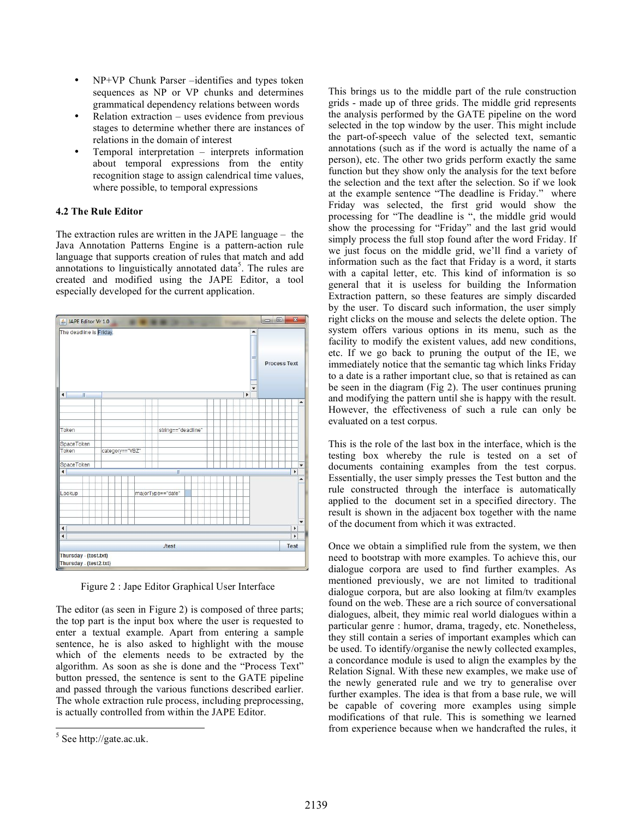- NP+VP Chunk Parser –identifies and types token sequences as NP or VP chunks and determines grammatical dependency relations between words
- $Relation extraction uses evidence from previous$ stages to determine whether there are instances of relations in the domain of interest
- Temporal interpretation interprets information about temporal expressions from the entity recognition stage to assign calendrical time values, where possible, to temporal expressions

# **4.2 The Rule Editor**

The extraction rules are written in the JAPE language – the Java Annotation Patterns Engine is a pattern-action rule language that supports creation of rules that match and add annotations to linguistically annotated data<sup>5</sup>. The rules are created and modified using the JAPE Editor, a tool especially developed for the current application.



Figure 2 : Jape Editor Graphical User Interface

The editor (as seen in Figure 2) is composed of three parts; the top part is the input box where the user is requested to enter a textual example. Apart from entering a sample sentence, he is also asked to highlight with the mouse which of the elements needs to be extracted by the algorithm. As soon as she is done and the "Process Text" button pressed, the sentence is sent to the GATE pipeline and passed through the various functions described earlier. The whole extraction rule process, including preprocessing, is actually controlled from within the JAPE Editor.

This brings us to the middle part of the rule construction grids - made up of three grids. The middle grid represents the analysis performed by the GATE pipeline on the word selected in the top window by the user. This might include the part-of-speech value of the selected text, semantic annotations (such as if the word is actually the name of a person), etc. The other two grids perform exactly the same function but they show only the analysis for the text before the selection and the text after the selection. So if we look at the example sentence "The deadline is Friday." where Friday was selected, the first grid would show the processing for "The deadline is ", the middle grid would show the processing for "Friday" and the last grid would simply process the full stop found after the word Friday. If we just focus on the middle grid, we'll find a variety of information such as the fact that Friday is a word, it starts with a capital letter, etc. This kind of information is so general that it is useless for building the Information Extraction pattern, so these features are simply discarded by the user. To discard such information, the user simply right clicks on the mouse and selects the delete option. The system offers various options in its menu, such as the facility to modify the existent values, add new conditions, etc. If we go back to pruning the output of the IE, we immediately notice that the semantic tag which links Friday to a date is a rather important clue, so that is retained as can be seen in the diagram (Fig 2). The user continues pruning and modifying the pattern until she is happy with the result. However, the effectiveness of such a rule can only be evaluated on a test corpus.

This is the role of the last box in the interface, which is the testing box whereby the rule is tested on a set of documents containing examples from the test corpus. Essentially, the user simply presses the Test button and the rule constructed through the interface is automatically applied to the document set in a specified directory. The result is shown in the adjacent box together with the name of the document from which it was extracted.

Once we obtain a simplified rule from the system, we then need to bootstrap with more examples. To achieve this, our dialogue corpora are used to find further examples. As mentioned previously, we are not limited to traditional dialogue corpora, but are also looking at film/tv examples found on the web. These are a rich source of conversational dialogues, albeit, they mimic real world dialogues within a particular genre : humor, drama, tragedy, etc. Nonetheless, they still contain a series of important examples which can be used. To identify/organise the newly collected examples, a concordance module is used to align the examples by the Relation Signal. With these new examples, we make use of the newly generated rule and we try to generalise over further examples. The idea is that from a base rule, we will be capable of covering more examples using simple modifications of that rule. This is something we learned from experience because when we handcrafted the rules, it

 <sup>5</sup> See http://gate.ac.uk.